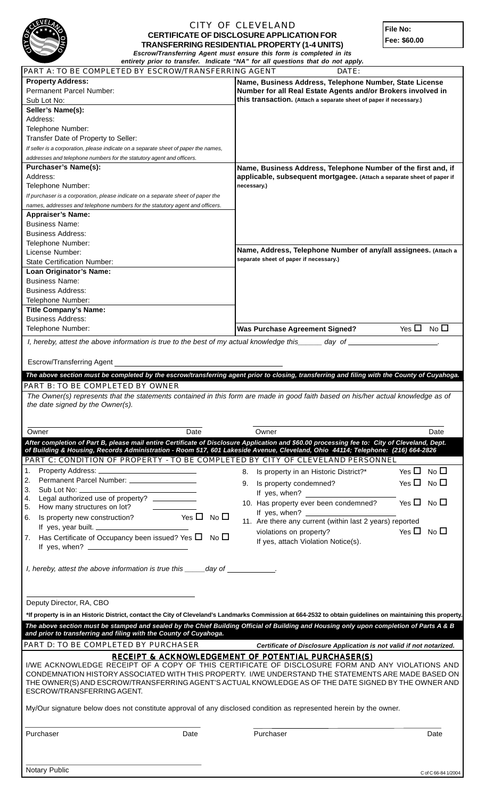

## CITY OF CLEVELAND **CERTIFICATE OF DISCLOSURE APPLICATION FOR TRANSFERRING RESIDENTIAL PROPERTY (1-4 UNITS)** *Escrow/Transferring Agent must ensure this form is completed in its*

**File No: Fee: \$60.00**

|                                                                                                                                                                                                                                                                                           | entirety prior to transfer. Indicate "NA" for all questions that do not apply.                                                                                                                                                                                                        |
|-------------------------------------------------------------------------------------------------------------------------------------------------------------------------------------------------------------------------------------------------------------------------------------------|---------------------------------------------------------------------------------------------------------------------------------------------------------------------------------------------------------------------------------------------------------------------------------------|
| PART A: TO BE COMPLETED BY ESCROW/TRANSFERRING AGENT                                                                                                                                                                                                                                      | DATE:                                                                                                                                                                                                                                                                                 |
| <b>Property Address:</b>                                                                                                                                                                                                                                                                  | Name, Business Address, Telephone Number, State License                                                                                                                                                                                                                               |
| Permanent Parcel Number:                                                                                                                                                                                                                                                                  | Number for all Real Estate Agents and/or Brokers involved in                                                                                                                                                                                                                          |
| Sub Lot No:                                                                                                                                                                                                                                                                               | this transaction. (Attach a separate sheet of paper if necessary.)                                                                                                                                                                                                                    |
| Seller's Name(s):                                                                                                                                                                                                                                                                         |                                                                                                                                                                                                                                                                                       |
| Address:                                                                                                                                                                                                                                                                                  |                                                                                                                                                                                                                                                                                       |
| Telephone Number:                                                                                                                                                                                                                                                                         |                                                                                                                                                                                                                                                                                       |
| Transfer Date of Property to Seller:                                                                                                                                                                                                                                                      |                                                                                                                                                                                                                                                                                       |
| If seller is a corporation, please indicate on a separate sheet of paper the names,                                                                                                                                                                                                       |                                                                                                                                                                                                                                                                                       |
| addresses and telephone numbers for the statutory agent and officers.                                                                                                                                                                                                                     |                                                                                                                                                                                                                                                                                       |
| <b>Purchaser's Name(s):</b>                                                                                                                                                                                                                                                               | Name, Business Address, Telephone Number of the first and, if                                                                                                                                                                                                                         |
| Address:                                                                                                                                                                                                                                                                                  | applicable, subsequent mortgagee. (Attach a separate sheet of paper if                                                                                                                                                                                                                |
| Telephone Number:                                                                                                                                                                                                                                                                         | necessary.)                                                                                                                                                                                                                                                                           |
| If purchaser is a corporation, please indicate on a separate sheet of paper the                                                                                                                                                                                                           |                                                                                                                                                                                                                                                                                       |
| names, addresses and telephone numbers for the statutory agent and officers.                                                                                                                                                                                                              |                                                                                                                                                                                                                                                                                       |
| <b>Appraiser's Name:</b>                                                                                                                                                                                                                                                                  |                                                                                                                                                                                                                                                                                       |
| <b>Business Name:</b>                                                                                                                                                                                                                                                                     |                                                                                                                                                                                                                                                                                       |
| <b>Business Address:</b>                                                                                                                                                                                                                                                                  |                                                                                                                                                                                                                                                                                       |
| Telephone Number:                                                                                                                                                                                                                                                                         |                                                                                                                                                                                                                                                                                       |
| License Number:                                                                                                                                                                                                                                                                           | Name, Address, Telephone Number of any/all assignees. (Attach a                                                                                                                                                                                                                       |
| <b>State Certification Number:</b>                                                                                                                                                                                                                                                        | separate sheet of paper if necessary.)                                                                                                                                                                                                                                                |
| Loan Originator's Name:                                                                                                                                                                                                                                                                   |                                                                                                                                                                                                                                                                                       |
| <b>Business Name:</b>                                                                                                                                                                                                                                                                     |                                                                                                                                                                                                                                                                                       |
| <b>Business Address:</b>                                                                                                                                                                                                                                                                  |                                                                                                                                                                                                                                                                                       |
| Telephone Number:                                                                                                                                                                                                                                                                         |                                                                                                                                                                                                                                                                                       |
| <b>Title Company's Name:</b>                                                                                                                                                                                                                                                              |                                                                                                                                                                                                                                                                                       |
| <b>Business Address:</b>                                                                                                                                                                                                                                                                  |                                                                                                                                                                                                                                                                                       |
| Telephone Number:                                                                                                                                                                                                                                                                         | Yes $\Box$ No $\Box$<br><b>Was Purchase Agreement Signed?</b>                                                                                                                                                                                                                         |
|                                                                                                                                                                                                                                                                                           |                                                                                                                                                                                                                                                                                       |
| I, hereby, attest the above information is true to the best of my actual knowledge this _____ day of _                                                                                                                                                                                    |                                                                                                                                                                                                                                                                                       |
|                                                                                                                                                                                                                                                                                           |                                                                                                                                                                                                                                                                                       |
| Escrow/Transferring Agent                                                                                                                                                                                                                                                                 |                                                                                                                                                                                                                                                                                       |
|                                                                                                                                                                                                                                                                                           | The above section must be completed by the escrow/transferring agent prior to closing, transferring and filing with the County of Cuyahoga.                                                                                                                                           |
| PART B: TO BE COMPLETED BY OWNER                                                                                                                                                                                                                                                          |                                                                                                                                                                                                                                                                                       |
|                                                                                                                                                                                                                                                                                           |                                                                                                                                                                                                                                                                                       |
|                                                                                                                                                                                                                                                                                           |                                                                                                                                                                                                                                                                                       |
|                                                                                                                                                                                                                                                                                           | The Owner(s) represents that the statements contained in this form are made in good faith based on his/her actual knowledge as of                                                                                                                                                     |
| the date signed by the Owner(s).                                                                                                                                                                                                                                                          |                                                                                                                                                                                                                                                                                       |
|                                                                                                                                                                                                                                                                                           |                                                                                                                                                                                                                                                                                       |
| Owner<br>Date                                                                                                                                                                                                                                                                             | Owner<br>Date                                                                                                                                                                                                                                                                         |
|                                                                                                                                                                                                                                                                                           |                                                                                                                                                                                                                                                                                       |
|                                                                                                                                                                                                                                                                                           | After completion of Part B, please mail entire Certificate of Disclosure Application and \$60.00 processing fee to: City of Cleveland, Dept.<br>of Building & Housing, Records Administration - Room 517, 601 Lakeside Avenue, Cleveland, Ohio 44114; Telephone: (216) 664-2826       |
| PART C: CONDITION OF PROPERTY - TO BE COMPLETED BY CITY OF CLEVELAND PERSONNEL                                                                                                                                                                                                            |                                                                                                                                                                                                                                                                                       |
| $\mathbf{1}$ .                                                                                                                                                                                                                                                                            |                                                                                                                                                                                                                                                                                       |
|                                                                                                                                                                                                                                                                                           | Yes $\Box$ No $\Box$<br>Is property in an Historic District?*<br>8.                                                                                                                                                                                                                   |
| Permanent Parcel Number: ___________________<br>2.                                                                                                                                                                                                                                        | Yes $\Box$ No $\Box$<br>9. Is property condemned?                                                                                                                                                                                                                                     |
| 3.<br>4.                                                                                                                                                                                                                                                                                  | If yes, when?                                                                                                                                                                                                                                                                         |
| Legal authorized use of property? __________<br>5.                                                                                                                                                                                                                                        | Yes $\Box$ No $\Box$<br>10. Has property ever been condemned?                                                                                                                                                                                                                         |
| How many structures on lot?                                                                                                                                                                                                                                                               | If yes, when? $\frac{1}{2}$ [15] $\frac{1}{2}$ [15] $\frac{1}{2}$ [15] $\frac{1}{2}$ [15] $\frac{1}{2}$ [15] $\frac{1}{2}$ [15] $\frac{1}{2}$ [15] $\frac{1}{2}$ [15] $\frac{1}{2}$ [15] $\frac{1}{2}$ [15] $\frac{1}{2}$ [15] $\frac{1}{2}$ [15] $\frac{1}{2}$ [15] $\frac{1}{2}$ [1 |
| Is property new construction? Yes $\Box$ No $\Box$<br>6.                                                                                                                                                                                                                                  | 11. Are there any current (within last 2 years) reported                                                                                                                                                                                                                              |
| If yes, year built.                                                                                                                                                                                                                                                                       | Yes $\Box$ No $\Box$<br>violations on property?                                                                                                                                                                                                                                       |
| Has Certificate of Occupancy been issued? Yes $\Box$ No $\Box$<br>7.                                                                                                                                                                                                                      | If yes, attach Violation Notice(s).                                                                                                                                                                                                                                                   |
| If yes, when? $\frac{1}{2}$ and $\frac{1}{2}$ and $\frac{1}{2}$ and $\frac{1}{2}$ and $\frac{1}{2}$ and $\frac{1}{2}$ and $\frac{1}{2}$ and $\frac{1}{2}$ and $\frac{1}{2}$ and $\frac{1}{2}$ and $\frac{1}{2}$ and $\frac{1}{2}$ and $\frac{1}{2}$ and $\frac{1}{2}$ and $\frac{1}{2}$ a |                                                                                                                                                                                                                                                                                       |
|                                                                                                                                                                                                                                                                                           |                                                                                                                                                                                                                                                                                       |
| I, hereby, attest the above information is true this ______day of _____________.                                                                                                                                                                                                          |                                                                                                                                                                                                                                                                                       |
|                                                                                                                                                                                                                                                                                           |                                                                                                                                                                                                                                                                                       |
|                                                                                                                                                                                                                                                                                           |                                                                                                                                                                                                                                                                                       |
|                                                                                                                                                                                                                                                                                           |                                                                                                                                                                                                                                                                                       |
| Deputy Director, RA, CBO                                                                                                                                                                                                                                                                  |                                                                                                                                                                                                                                                                                       |
|                                                                                                                                                                                                                                                                                           | *If property is in an Historic District, contact the City of Cleveland's Landmarks Commission at 664-2532 to obtain guidelines on maintaining this property.                                                                                                                          |
|                                                                                                                                                                                                                                                                                           | The above section must be stamped and sealed by the Chief Building Official of Building and Housing only upon completion of Parts A & B                                                                                                                                               |
| and prior to transferring and filing with the County of Cuyahoga.                                                                                                                                                                                                                         |                                                                                                                                                                                                                                                                                       |
| PART D: TO BE COMPLETED BY PURCHASER                                                                                                                                                                                                                                                      | Certificate of Disclosure Application is not valid if not notarized.                                                                                                                                                                                                                  |
|                                                                                                                                                                                                                                                                                           |                                                                                                                                                                                                                                                                                       |
|                                                                                                                                                                                                                                                                                           | <b>RECEIPT &amp; ACKNOWLEDGEMENT OF POTENTIAL PURCHASER(S)</b>                                                                                                                                                                                                                        |
|                                                                                                                                                                                                                                                                                           | I/WE ACKNOWLEDGE RECEIPT OF A COPY OF THIS CERTIFICATE OF DISCLOSURE FORM AND ANY VIOLATIONS AND                                                                                                                                                                                      |
|                                                                                                                                                                                                                                                                                           | CONDEMNATION HISTORY ASSOCIATED WITH THIS PROPERTY. I/WE UNDERSTAND THE STATEMENTS ARE MADE BASED ON                                                                                                                                                                                  |
| ESCROW/TRANSFERRING AGENT.                                                                                                                                                                                                                                                                | THE OWNER(S) AND ESCROW/TRANSFERRING AGENT'S ACTUAL KNOWLEDGE AS OF THE DATE SIGNED BY THE OWNER AND                                                                                                                                                                                  |
|                                                                                                                                                                                                                                                                                           |                                                                                                                                                                                                                                                                                       |
| My/Our signature below does not constitute approval of any disclosed condition as represented herein by the owner.                                                                                                                                                                        |                                                                                                                                                                                                                                                                                       |
|                                                                                                                                                                                                                                                                                           |                                                                                                                                                                                                                                                                                       |
|                                                                                                                                                                                                                                                                                           |                                                                                                                                                                                                                                                                                       |
| Purchaser<br>Date                                                                                                                                                                                                                                                                         | Purchaser<br>Date                                                                                                                                                                                                                                                                     |
|                                                                                                                                                                                                                                                                                           |                                                                                                                                                                                                                                                                                       |
|                                                                                                                                                                                                                                                                                           |                                                                                                                                                                                                                                                                                       |
| Notary Public                                                                                                                                                                                                                                                                             |                                                                                                                                                                                                                                                                                       |